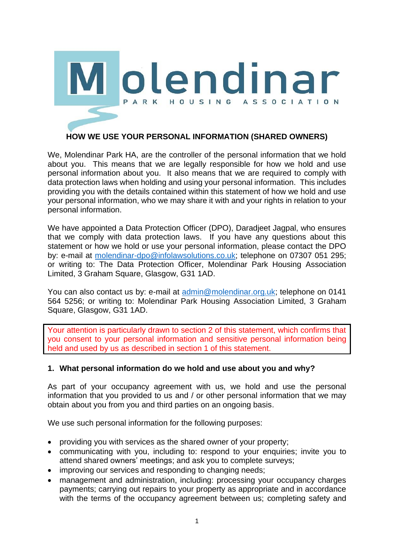

# **HOW WE USE YOUR PERSONAL INFORMATION (SHARED OWNERS)**

We, Molendinar Park HA, are the controller of the personal information that we hold about you. This means that we are legally responsible for how we hold and use personal information about you. It also means that we are required to comply with data protection laws when holding and using your personal information. This includes providing you with the details contained within this statement of how we hold and use your personal information, who we may share it with and your rights in relation to your personal information.

We have appointed a Data Protection Officer (DPO), Daradjeet Jagpal, who ensures that we comply with data protection laws. If you have any questions about this statement or how we hold or use your personal information, please contact the DPO by: e-mail at [molendinar-dpo@infolawsolutions.co.uk;](mailto:molendinar-dpo@infolawsolutions.co.uk) telephone on 07307 051 295; or writing to: The Data Protection Officer, Molendinar Park Housing Association Limited, 3 Graham Square, Glasgow, G31 1AD.

You can also contact us by: e-mail at [admin@molendinar.org.uk;](mailto:admin@molendinar.org.uk) telephone on 0141 564 5256; or writing to: Molendinar Park Housing Association Limited, 3 Graham Square, Glasgow, G31 1AD.

Your attention is particularly drawn to section 2 of this statement, which confirms that you consent to your personal information and sensitive personal information being held and used by us as described in section 1 of this statement.

#### **1. What personal information do we hold and use about you and why?**

As part of your occupancy agreement with us, we hold and use the personal information that you provided to us and / or other personal information that we may obtain about you from you and third parties on an ongoing basis.

We use such personal information for the following purposes:

- providing you with services as the shared owner of your property;
- communicating with you, including to: respond to your enquiries; invite you to attend shared owners' meetings; and ask you to complete surveys;
- improving our services and responding to changing needs;
- management and administration, including: processing your occupancy charges payments; carrying out repairs to your property as appropriate and in accordance with the terms of the occupancy agreement between us; completing safety and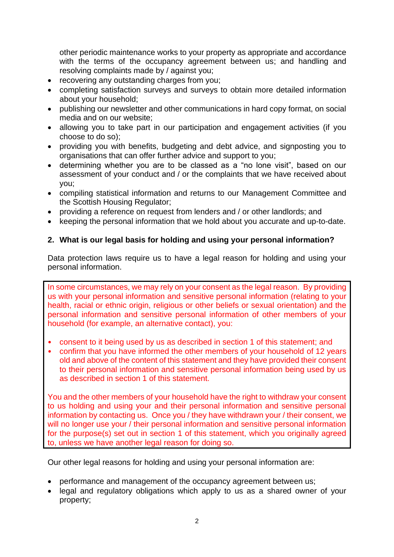other periodic maintenance works to your property as appropriate and accordance with the terms of the occupancy agreement between us; and handling and resolving complaints made by / against you;

- recovering any outstanding charges from you;
- completing satisfaction surveys and surveys to obtain more detailed information about your household;
- publishing our newsletter and other communications in hard copy format, on social media and on our website;
- allowing you to take part in our participation and engagement activities (if you choose to do so);
- providing you with benefits, budgeting and debt advice, and signposting you to organisations that can offer further advice and support to you;
- determining whether you are to be classed as a "no lone visit", based on our assessment of your conduct and / or the complaints that we have received about you;
- compiling statistical information and returns to our Management Committee and the Scottish Housing Regulator;
- providing a reference on request from lenders and / or other landlords; and
- keeping the personal information that we hold about you accurate and up-to-date.

## **2. What is our legal basis for holding and using your personal information?**

Data protection laws require us to have a legal reason for holding and using your personal information.

In some circumstances, we may rely on your consent as the legal reason. By providing us with your personal information and sensitive personal information (relating to your health, racial or ethnic origin, religious or other beliefs or sexual orientation) and the personal information and sensitive personal information of other members of your household (for example, an alternative contact), you:

- consent to it being used by us as described in section 1 of this statement; and
- confirm that you have informed the other members of your household of 12 years old and above of the content of this statement and they have provided their consent to their personal information and sensitive personal information being used by us as described in section 1 of this statement.

You and the other members of your household have the right to withdraw your consent to us holding and using your and their personal information and sensitive personal information by contacting us. Once you / they have withdrawn your / their consent, we will no longer use your / their personal information and sensitive personal information for the purpose(s) set out in section 1 of this statement, which you originally agreed to, unless we have another legal reason for doing so.

Our other legal reasons for holding and using your personal information are:

- performance and management of the occupancy agreement between us;
- legal and regulatory obligations which apply to us as a shared owner of your property;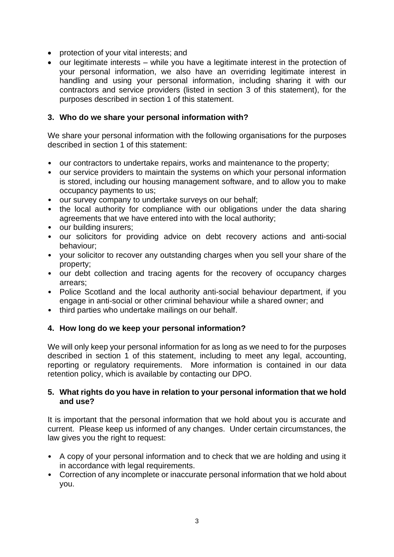- protection of your vital interests; and
- our legitimate interests while you have a legitimate interest in the protection of your personal information, we also have an overriding legitimate interest in handling and using your personal information, including sharing it with our contractors and service providers (listed in section 3 of this statement), for the purposes described in section 1 of this statement.

### **3. Who do we share your personal information with?**

We share your personal information with the following organisations for the purposes described in section 1 of this statement:

- our contractors to undertake repairs, works and maintenance to the property;
- our service providers to maintain the systems on which your personal information is stored, including our housing management software, and to allow you to make occupancy payments to us;
- our survey company to undertake surveys on our behalf;
- the local authority for compliance with our obligations under the data sharing agreements that we have entered into with the local authority;
- our building insurers;
- our solicitors for providing advice on debt recovery actions and anti-social behaviour;
- your solicitor to recover any outstanding charges when you sell your share of the property;
- our debt collection and tracing agents for the recovery of occupancy charges arrears;
- Police Scotland and the local authority anti-social behaviour department, if you engage in anti-social or other criminal behaviour while a shared owner; and
- third parties who undertake mailings on our behalf.

#### **4. How long do we keep your personal information?**

We will only keep your personal information for as long as we need to for the purposes described in section 1 of this statement, including to meet any legal, accounting, reporting or regulatory requirements. More information is contained in our data retention policy, which is available by contacting our DPO.

#### **5. What rights do you have in relation to your personal information that we hold and use?**

It is important that the personal information that we hold about you is accurate and current. Please keep us informed of any changes. Under certain circumstances, the law gives you the right to request:

- A copy of your personal information and to check that we are holding and using it in accordance with legal requirements.
- Correction of any incomplete or inaccurate personal information that we hold about you.